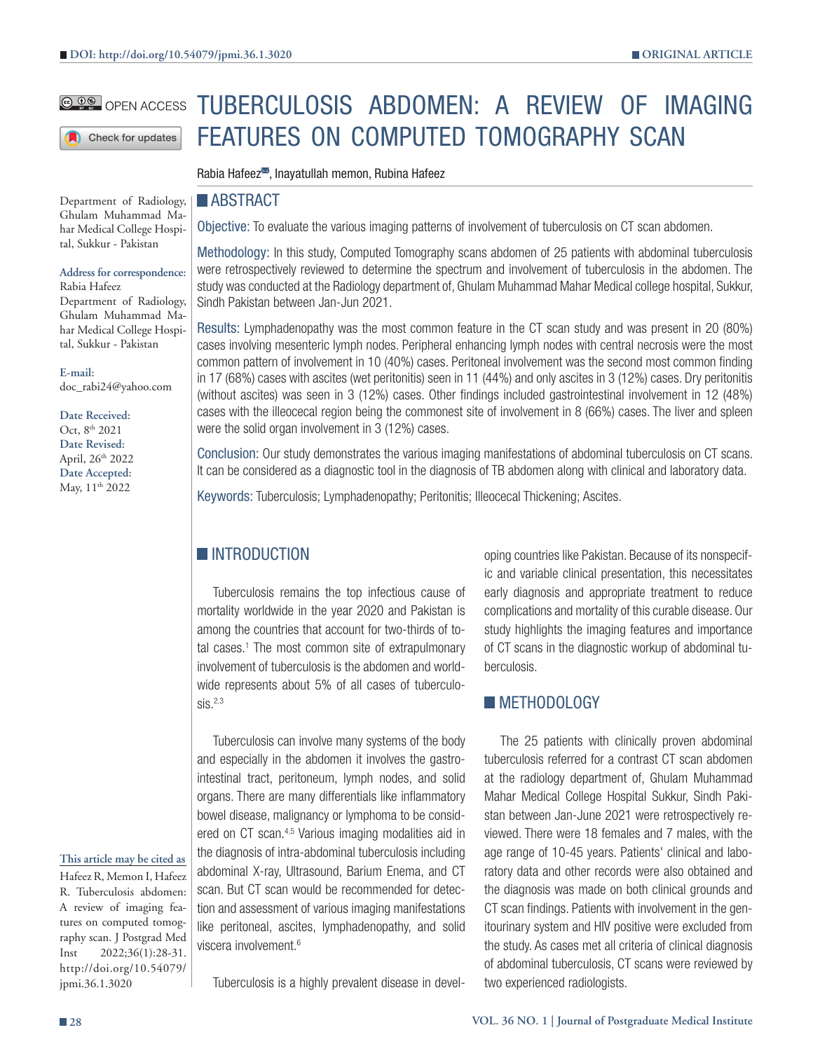#### **@ DO** OPEN ACCESS

Check for updates

Department of Radiology, Ghulam Muhammad Mahar Medical College Hospital, Sukkur - Pakistan

#### **Address for correspondence:**

Rabia Hafeez Department of Radiology, Ghulam Muhammad Mahar Medical College Hospital, Sukkur - Pakistan

**E-mail:** doc\_rabi24@yahoo.com

**Date Received:** Oct, 8<sup>th</sup> 2021 **Date Revised:** April, 26<sup>th</sup> 2022 **Date Accepted:** May,  $11<sup>th</sup> 2022$ 

### **This article may be cited as**

Hafeez R, Memon I, Hafeez R. Tuberculosis abdomen: A review of imaging features on computed tomography scan. J Postgrad Med Inst 2022;36(1):28-31. http://doi.org/10.54079/ jpmi.36.1.3020

# TUBERCULOSIS ABDOMEN: A REVIEW OF IMAGING FEATURES ON COMPUTED TOMOGRAPHY SCAN

Rabia Hafeez<sup>38</sup>, Inayatullah memon, Rubina Hafeez

#### **ABSTRACT**

Objective: To evaluate the various imaging patterns of involvement of tuberculosis on CT scan abdomen.

Methodology: In this study, Computed Tomography scans abdomen of 25 patients with abdominal tuberculosis were retrospectively reviewed to determine the spectrum and involvement of tuberculosis in the abdomen. The study was conducted at the Radiology department of, Ghulam Muhammad Mahar Medical college hospital, Sukkur, Sindh Pakistan between Jan-Jun 2021.

Results: Lymphadenopathy was the most common feature in the CT scan study and was present in 20 (80%) cases involving mesenteric lymph nodes. Peripheral enhancing lymph nodes with central necrosis were the most common pattern of involvement in 10 (40%) cases. Peritoneal involvement was the second most common finding in 17 (68%) cases with ascites (wet peritonitis) seen in 11 (44%) and only ascites in 3 (12%) cases. Dry peritonitis (without ascites) was seen in 3 (12%) cases. Other findings included gastrointestinal involvement in 12 (48%) cases with the illeocecal region being the commonest site of involvement in 8 (66%) cases. The liver and spleen were the solid organ involvement in 3 (12%) cases.

Conclusion: Our study demonstrates the various imaging manifestations of abdominal tuberculosis on CT scans. It can be considered as a diagnostic tool in the diagnosis of TB abdomen along with clinical and laboratory data.

Keywords: Tuberculosis; Lymphadenopathy; Peritonitis; Illeocecal Thickening; Ascites.

## **INTRODUCTION**

Tuberculosis remains the top infectious cause of mortality worldwide in the year 2020 and Pakistan is among the countries that account for two-thirds of total cases.<sup>1</sup> The most common site of extrapulmonary involvement of tuberculosis is the abdomen and worldwide represents about 5% of all cases of tuberculo $sis<sup>2,3</sup>$ 

Tuberculosis can involve many systems of the body and especially in the abdomen it involves the gastrointestinal tract, peritoneum, lymph nodes, and solid organs. There are many differentials like inflammatory bowel disease, malignancy or lymphoma to be considered on CT scan.<sup>4,5</sup> Various imaging modalities aid in the diagnosis of intra-abdominal tuberculosis including abdominal X-ray, Ultrasound, Barium Enema, and CT scan. But CT scan would be recommended for detection and assessment of various imaging manifestations like peritoneal, ascites, lymphadenopathy, and solid viscera involvement.6

Tuberculosis is a highly prevalent disease in devel-

oping countries like Pakistan. Because of its nonspecific and variable clinical presentation, this necessitates early diagnosis and appropriate treatment to reduce complications and mortality of this curable disease. Our study highlights the imaging features and importance of CT scans in the diagnostic workup of abdominal tuberculosis.

## **METHODOLOGY**

The 25 patients with clinically proven abdominal tuberculosis referred for a contrast CT scan abdomen at the radiology department of, Ghulam Muhammad Mahar Medical College Hospital Sukkur, Sindh Pakistan between Jan-June 2021 were retrospectively reviewed. There were 18 females and 7 males, with the age range of 10-45 years. Patients' clinical and laboratory data and other records were also obtained and the diagnosis was made on both clinical grounds and CT scan findings. Patients with involvement in the genitourinary system and HIV positive were excluded from the study. As cases met all criteria of clinical diagnosis of abdominal tuberculosis, CT scans were reviewed by two experienced radiologists.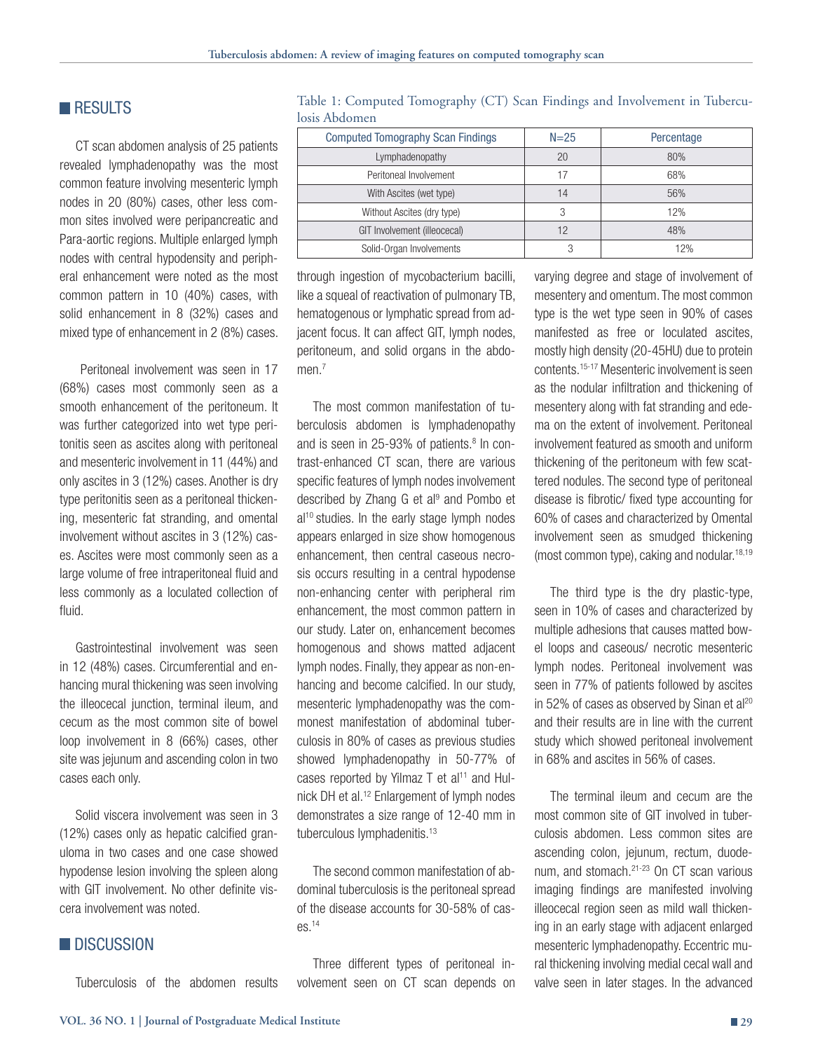## **RESULTS**

CT scan abdomen analysis of 25 patients revealed lymphadenopathy was the most common feature involving mesenteric lymph nodes in 20 (80%) cases, other less common sites involved were peripancreatic and Para-aortic regions. Multiple enlarged lymph nodes with central hypodensity and peripheral enhancement were noted as the most common pattern in 10 (40%) cases, with solid enhancement in 8 (32%) cases and mixed type of enhancement in 2 (8%) cases.

 Peritoneal involvement was seen in 17 (68%) cases most commonly seen as a smooth enhancement of the peritoneum. It was further categorized into wet type peritonitis seen as ascites along with peritoneal and mesenteric involvement in 11 (44%) and only ascites in 3 (12%) cases. Another is dry type peritonitis seen as a peritoneal thickening, mesenteric fat stranding, and omental involvement without ascites in 3 (12%) cases. Ascites were most commonly seen as a large volume of free intraperitoneal fluid and less commonly as a loculated collection of fluid.

Gastrointestinal involvement was seen in 12 (48%) cases. Circumferential and enhancing mural thickening was seen involving the illeocecal junction, terminal ileum, and cecum as the most common site of bowel loop involvement in 8 (66%) cases, other site was jejunum and ascending colon in two cases each only.

Solid viscera involvement was seen in 3 (12%) cases only as hepatic calcified granuloma in two cases and one case showed hypodense lesion involving the spleen along with GIT involvement. No other definite viscera involvement was noted.

## **DISCUSSION**

Tuberculosis of the abdomen results

losis Abdomen Computed Tomography Scan Findings | N=25 | Percentage Lymphadenopathy 20 80%

Table 1: Computed Tomography (CT) Scan Findings and Involvement in Tubercu-

| Lymphadenopathy              | 20 | 80% |
|------------------------------|----|-----|
| Peritoneal Involvement       |    | 68% |
| With Ascites (wet type)      | 14 | 56% |
| Without Ascites (dry type)   |    | 12% |
| GIT Involvement (illeocecal) |    | 48% |
| Solid-Organ Involvements     | Ő. | 12% |

through ingestion of mycobacterium bacilli, like a squeal of reactivation of pulmonary TB, hematogenous or lymphatic spread from adjacent focus. It can affect GIT, lymph nodes, peritoneum, and solid organs in the abdomen.<sup>7</sup>

The most common manifestation of tuberculosis abdomen is lymphadenopathy and is seen in 25-93% of patients. $8 \text{ ln } \text{con}$ trast-enhanced CT scan, there are various specific features of lymph nodes involvement described by Zhang G et al<sup>9</sup> and Pombo et  $al<sup>10</sup>$  studies. In the early stage lymph nodes appears enlarged in size show homogenous enhancement, then central caseous necrosis occurs resulting in a central hypodense non-enhancing center with peripheral rim enhancement, the most common pattern in our study. Later on, enhancement becomes homogenous and shows matted adjacent lymph nodes. Finally, they appear as non-enhancing and become calcified. In our study, mesenteric lymphadenopathy was the commonest manifestation of abdominal tuberculosis in 80% of cases as previous studies showed lymphadenopathy in 50-77% of cases reported by Yilmaz  $T$  et al<sup>11</sup> and Hulnick DH et al.<sup>12</sup> Enlargement of lymph nodes demonstrates a size range of 12-40 mm in tuberculous lymphadenitis.<sup>13</sup>

The second common manifestation of abdominal tuberculosis is the peritoneal spread of the disease accounts for 30-58% of cases.14

Three different types of peritoneal involvement seen on CT scan depends on varying degree and stage of involvement of mesentery and omentum. The most common type is the wet type seen in 90% of cases manifested as free or loculated ascites, mostly high density (20-45HU) due to protein contents.15-17 Mesenteric involvement is seen as the nodular infiltration and thickening of mesentery along with fat stranding and edema on the extent of involvement. Peritoneal involvement featured as smooth and uniform thickening of the peritoneum with few scattered nodules. The second type of peritoneal disease is fibrotic/ fixed type accounting for 60% of cases and characterized by Omental involvement seen as smudged thickening (most common type), caking and nodular.18,19

The third type is the dry plastic-type, seen in 10% of cases and characterized by multiple adhesions that causes matted bowel loops and caseous/ necrotic mesenteric lymph nodes. Peritoneal involvement was seen in 77% of patients followed by ascites in 52% of cases as observed by Sinan et  $al^{20}$ and their results are in line with the current study which showed peritoneal involvement in 68% and ascites in 56% of cases.

The terminal ileum and cecum are the most common site of GIT involved in tuberculosis abdomen. Less common sites are ascending colon, jejunum, rectum, duodenum, and stomach.<sup>21-23</sup> On CT scan various imaging findings are manifested involving illeocecal region seen as mild wall thickening in an early stage with adjacent enlarged mesenteric lymphadenopathy. Eccentric mural thickening involving medial cecal wall and valve seen in later stages. In the advanced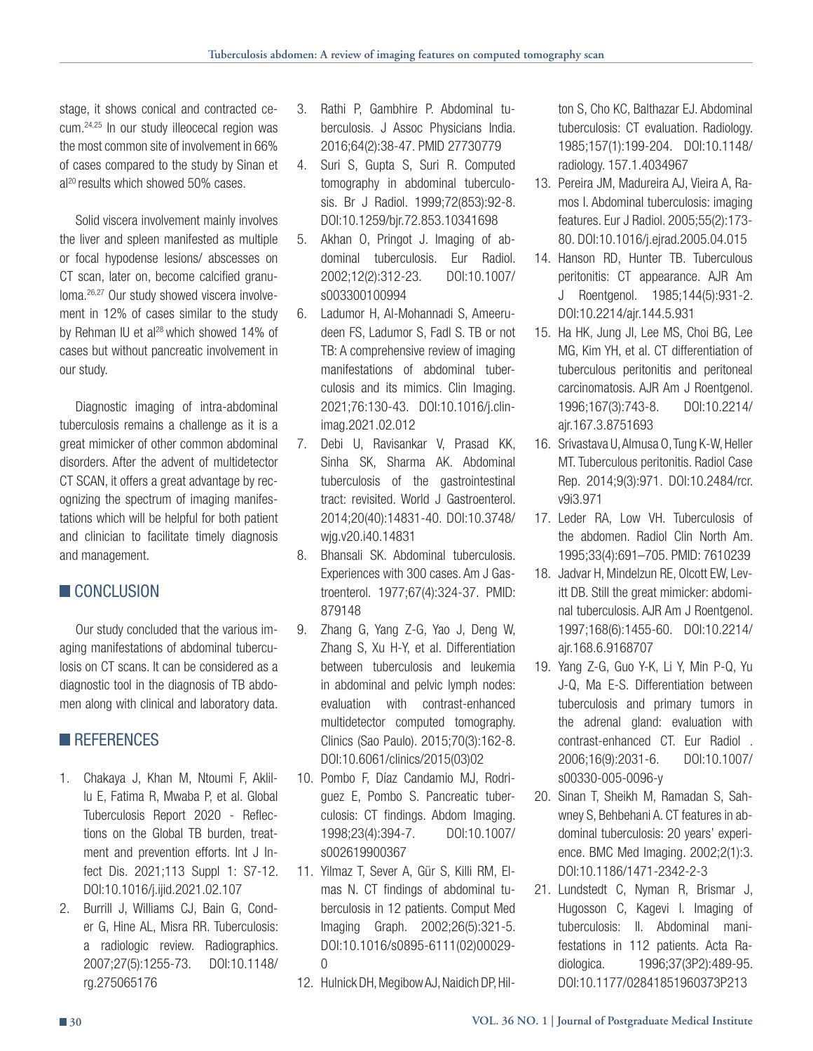stage, it shows conical and contracted cecum.24,25 In our study illeocecal region was the most common site of involvement in 66% of cases compared to the study by Sinan et al<sup>20</sup> results which showed 50% cases.

Solid viscera involvement mainly involves the liver and spleen manifested as multiple or focal hypodense lesions/ abscesses on CT scan, later on, become calcified granuloma.26,27 Our study showed viscera involvement in 12% of cases similar to the study by Rehman IU et al<sup>28</sup> which showed 14% of cases but without pancreatic involvement in our study.

Diagnostic imaging of intra-abdominal tuberculosis remains a challenge as it is a great mimicker of other common abdominal disorders. After the advent of multidetector CT SCAN, it offers a great advantage by recognizing the spectrum of imaging manifestations which will be helpful for both patient and clinician to facilitate timely diagnosis and management.

## CONCLUSION

Our study concluded that the various imaging manifestations of abdominal tuberculosis on CT scans. It can be considered as a diagnostic tool in the diagnosis of TB abdomen along with clinical and laboratory data.

## **REFERENCES**

- 1. Chakaya J, Khan M, Ntoumi F, Aklillu E, Fatima R, Mwaba P, et al. Global Tuberculosis Report 2020 - Reflections on the Global TB burden, treatment and prevention efforts. Int J Infect Dis. 2021;113 Suppl 1: S7-12. DOI:10.1016/j.ijid.2021.02.107
- 2. Burrill J, Williams CJ, Bain G, Conder G, Hine AL, Misra RR. Tuberculosis: a radiologic review. Radiographics. 2007;27(5):1255-73. DOI:10.1148/ rg.275065176
- 3. Rathi P, Gambhire P. Abdominal tuberculosis. J Assoc Physicians India. 2016;64(2):38-47. PMID 27730779
- 4. Suri S, Gupta S, Suri R. Computed tomography in abdominal tuberculosis. Br J Radiol. 1999;72(853):92-8. DOI:10.1259/bjr.72.853.10341698
- 5. Akhan O, Pringot J. Imaging of abdominal tuberculosis. Eur Radiol. 2002;12(2):312-23. DOI:10.1007/ s003300100994
- 6. Ladumor H, Al-Mohannadi S, Ameerudeen FS, Ladumor S, Fadl S. TB or not TB: A comprehensive review of imaging manifestations of abdominal tuberculosis and its mimics. Clin Imaging. 2021;76:130-43. DOI:10.1016/j.clinimag.2021.02.012
- 7. Debi U, Ravisankar V, Prasad KK, Sinha SK, Sharma AK. Abdominal tuberculosis of the gastrointestinal tract: revisited. World J Gastroenterol. 2014;20(40):14831-40. DOI:10.3748/ wjg.v20.i40.14831
- 8. Bhansali SK. Abdominal tuberculosis. Experiences with 300 cases. Am J Gastroenterol. 1977;67(4):324-37. PMID: 879148
- 9. Zhang G, Yang Z-G, Yao J, Deng W, Zhang S, Xu H-Y, et al. Differentiation between tuberculosis and leukemia in abdominal and pelvic lymph nodes: evaluation with contrast-enhanced multidetector computed tomography. Clinics (Sao Paulo). 2015;70(3):162-8. DOI:10.6061/clinics/2015(03)02
- 10. Pombo F, Díaz Candamio MJ, Rodriguez E, Pombo S. Pancreatic tuberculosis: CT findings. Abdom Imaging. 1998;23(4):394-7. DOI:10.1007/ s002619900367
- 11. Yilmaz T, Sever A, Gür S, Killi RM, Elmas N. CT findings of abdominal tuberculosis in 12 patients. Comput Med Imaging Graph. 2002;26(5):321-5. DOI:10.1016/s0895-6111(02)00029-  $\Omega$
- 12. Hulnick DH, Megibow AJ, Naidich DP, Hil-

ton S, Cho KC, Balthazar EJ. Abdominal tuberculosis: CT evaluation. Radiology. 1985;157(1):199-204. DOI:10.1148/ radiology. 157.1.4034967

- 13. Pereira JM, Madureira AJ, Vieira A, Ramos I. Abdominal tuberculosis: imaging features. Eur J Radiol. 2005;55(2):173- 80. DOI:10.1016/j.ejrad.2005.04.015
- 14. Hanson RD, Hunter TB. Tuberculous peritonitis: CT appearance. AJR Am J Roentgenol. 1985;144(5):931-2. DOI:10.2214/ajr.144.5.931
- 15. Ha HK, Jung JI, Lee MS, Choi BG, Lee MG, Kim YH, et al. CT differentiation of tuberculous peritonitis and peritoneal carcinomatosis. AJR Am J Roentgenol. 1996;167(3):743-8. DOI:10.2214/ ajr.167.3.8751693
- 16. Srivastava U, Almusa O, Tung K-W, Heller MT. Tuberculous peritonitis. Radiol Case Rep. 2014;9(3):971. DOI:10.2484/rcr. v9i3.971
- 17. Leder RA, Low VH. Tuberculosis of the abdomen. Radiol Clin North Am. 1995;33(4):691–705. PMID: 7610239
- 18. Jadvar H, Mindelzun RE, Olcott EW, Levitt DB. Still the great mimicker: abdominal tuberculosis. AJR Am J Roentgenol. 1997;168(6):1455-60. DOI:10.2214/ ajr.168.6.9168707
- 19. Yang Z-G, Guo Y-K, Li Y, Min P-Q, Yu J-Q, Ma E-S. Differentiation between tuberculosis and primary tumors in the adrenal gland: evaluation with contrast-enhanced CT. Eur Radiol . 2006;16(9):2031-6. DOI:10.1007/ s00330-005-0096-y
- 20. Sinan T, Sheikh M, Ramadan S, Sahwney S, Behbehani A. CT features in abdominal tuberculosis: 20 years' experience. BMC Med Imaging. 2002;2(1):3. DOI:10.1186/1471-2342-2-3
- 21. Lundstedt C, Nyman R, Brismar J, Hugosson C, Kagevi I. Imaging of tuberculosis: II. Abdominal manifestations in 112 patients. Acta Radiologica. 1996;37(3P2):489-95. DOI:10.1177/02841851960373P213